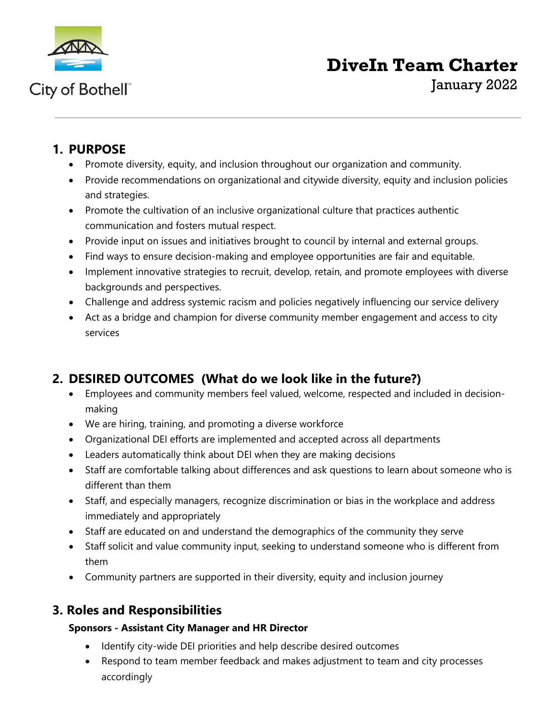

## City of Bothell<sup>®</sup>

# **DiveIn Team Charter**

January 2022

## **1. PURPOSE**

- Promote diversity, equity, and inclusion throughout our organization and community.
- Provide recommendations on organizational and citywide diversity, equity and inclusion policies and strategies.
- Promote the cultivation of an inclusive organizational culture that practices authentic communication and fosters mutual respect.
- Provide input on issues and initiatives brought to council by internal and external groups.
- Find ways to ensure decision-making and employee opportunities are fair and equitable.
- Implement innovative strategies to recruit, develop, retain, and promote employees with diverse backgrounds and perspectives.
- Challenge and address systemic racism and policies negatively influencing our service delivery
- Act as a bridge and champion for diverse community member engagement and access to city services

## **2. DESIRED OUTCOMES (What do we look like in the future?)**

- Employees and community members feel valued, welcome, respected and included in decisionmaking
- We are hiring, training, and promoting a diverse workforce
- Organizational DEI efforts are implemented and accepted across all departments
- Leaders automatically think about DEI when they are making decisions
- Staff are comfortable talking about differences and ask questions to learn about someone who is different than them
- Staff, and especially managers, recognize discrimination or bias in the workplace and address immediately and appropriately
- Staff are educated on and understand the demographics of the community they serve
- Staff solicit and value community input, seeking to understand someone who is different from them
- Community partners are supported in their diversity, equity and inclusion journey

## **3. Roles and Responsibilities**

#### **Sponsors - Assistant City Manager and HR Director**

- Identify city-wide DEI priorities and help describe desired outcomes
- Respond to team member feedback and makes adjustment to team and city processes accordingly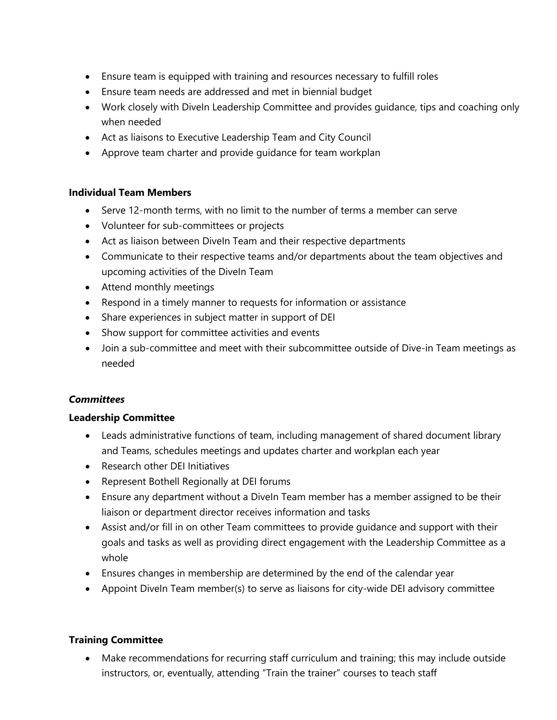- Ensure team is equipped with training and resources necessary to fulfill roles
- Ensure team needs are addressed and met in biennial budget
- Work closely with DiveIn Leadership Committee and provides guidance, tips and coaching only when needed
- Act as liaisons to Executive Leadership Team and City Council
- Approve team charter and provide guidance for team workplan

#### **Individual Team Members**

- Serve 12-month terms, with no limit to the number of terms a member can serve
- Volunteer for sub-committees or projects
- Act as liaison between DiveIn Team and their respective departments
- Communicate to their respective teams and/or departments about the team objectives and upcoming activities of the DiveIn Team
- Attend monthly meetings
- Respond in a timely manner to requests for information or assistance
- Share experiences in subject matter in support of DEI
- Show support for committee activities and events
- Join a sub-committee and meet with their subcommittee outside of Dive-in Team meetings as needed

#### *Committees*

#### **Leadership Committee**

- Leads administrative functions of team, including management of shared document library and Teams, schedules meetings and updates charter and workplan each year
- Research other DEI Initiatives
- Represent Bothell Regionally at DEI forums
- Ensure any department without a Diveln Team member has a member assigned to be their liaison or department director receives information and tasks
- Assist and/or fill in on other Team committees to provide guidance and support with their goals and tasks as well as providing direct engagement with the Leadership Committee as a whole
- Ensures changes in membership are determined by the end of the calendar year
- Appoint DiveIn Team member(s) to serve as liaisons for city-wide DEI advisory committee

#### **Training Committee**

• Make recommendations for recurring staff curriculum and training; this may include outside instructors, or, eventually, attending "Train the trainer" courses to teach staff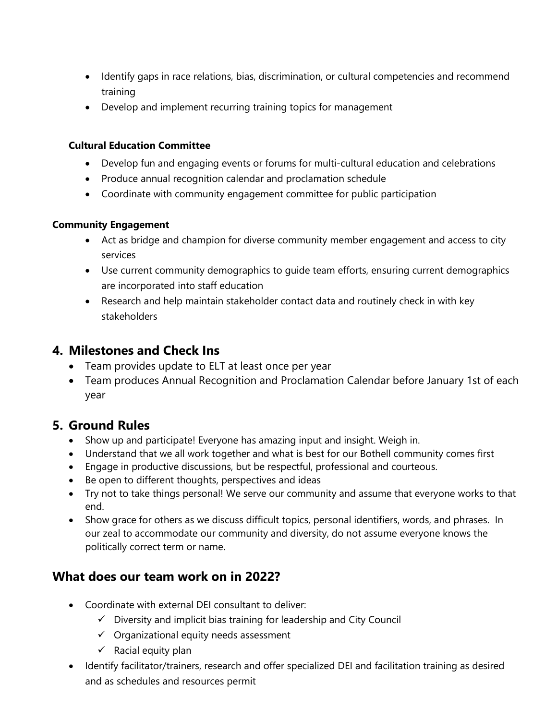- Identify gaps in race relations, bias, discrimination, or cultural competencies and recommend training
- Develop and implement recurring training topics for management

#### **Cultural Education Committee**

- Develop fun and engaging events or forums for multi-cultural education and celebrations
- Produce annual recognition calendar and proclamation schedule
- Coordinate with community engagement committee for public participation

#### **Community Engagement**

- Act as bridge and champion for diverse community member engagement and access to city services
- Use current community demographics to guide team efforts, ensuring current demographics are incorporated into staff education
- Research and help maintain stakeholder contact data and routinely check in with key stakeholders

### **4. Milestones and Check Ins**

- Team provides update to ELT at least once per year
- Team produces Annual Recognition and Proclamation Calendar before January 1st of each year

## **5. Ground Rules**

- Show up and participate! Everyone has amazing input and insight. Weigh in.
- Understand that we all work together and what is best for our Bothell community comes first
- Engage in productive discussions, but be respectful, professional and courteous.
- Be open to different thoughts, perspectives and ideas
- Try not to take things personal! We serve our community and assume that everyone works to that end.
- Show grace for others as we discuss difficult topics, personal identifiers, words, and phrases. In our zeal to accommodate our community and diversity, do not assume everyone knows the politically correct term or name.

## **What does our team work on in 2022?**

- Coordinate with external DEI consultant to deliver:
	- $\checkmark$  Diversity and implicit bias training for leadership and City Council
	- $\checkmark$  Organizational equity needs assessment
	- $\checkmark$  Racial equity plan
- Identify facilitator/trainers, research and offer specialized DEI and facilitation training as desired and as schedules and resources permit